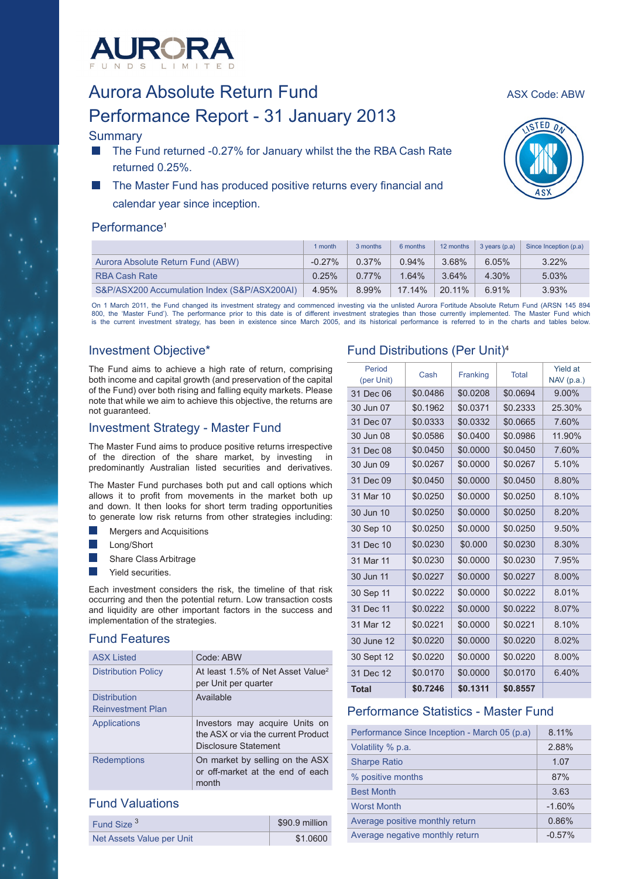

# Aurora Absolute Return Fund<br>Aurora Absolute Return Fund Performance Report - 31 January 2013

# **Summary**

- The Fund returned -0.27% for January whilst the the RBA Cash Rate returned 0.25%.
- The Master Fund has produced positive returns every financial and calendar year since inception.

# Performance<sup>1</sup>

|                                              | I month   | 3 months | 6 months | 12 months | $3$ years $(p.a)$ | Since Inception (p.a) |
|----------------------------------------------|-----------|----------|----------|-----------|-------------------|-----------------------|
| Aurora Absolute Return Fund (ABW)            | $-0.27\%$ | 0.37%    | $0.94\%$ | 3.68%     | 6.05%             | $3.22\%$              |
| <b>RBA Cash Rate</b>                         | 0.25%     | $0.77\%$ | 1.64%    | 3.64%     | $4.30\%$          | 5.03%                 |
| S&P/ASX200 Accumulation Index (S&P/ASX200AI) | 4.95%     | 8.99%    | 17.14%   | 20.11%    | 6.91%             | $3.93\%$              |

On 1 March 2011, the Fund changed its investment strategy and commenced investing via the unlisted Aurora Fortitude Absolute Return Fund (ARSN 145 894<br>800, the 'Master Fund'). The performance prior to this date is of diffe is the current investment strategy, has been in existence since March 2005, and its historical performance is referred to in the charts and tables below.

# Investment Objective\*

The Fund aims to achieve a high rate of return, comprising both income and capital growth (and preservation of the capital of the Fund) over both rising and falling equity markets. Please note that while we aim to achieve this objective, the returns are not guaranteed.

# Investment Strategy - Master Fund

The Master Fund aims to produce positive returns irrespective of the direction of the share market, by investing in predominantly Australian listed securities and derivatives.

The Master Fund purchases both put and call options which allows it to profit from movements in the market both up and down. It then looks for short term trading opportunities to generate low risk returns from other strategies including:

- Mergers and Acquisitions
- Long/Short
- Share Class Arbitrage
- Yield securities.

Each investment considers the risk, the timeline of that risk occurring and then the potential return. Low transaction costs and liquidity are other important factors in the success and implementation of the strategies.

# Fund Features

| ASX Listed                                      | Code: ABW                                                                                    |
|-------------------------------------------------|----------------------------------------------------------------------------------------------|
| <b>Distribution Policy</b>                      | At least 1.5% of Net Asset Value <sup>2</sup><br>per Unit per quarter                        |
| <b>Distribution</b><br><b>Reinvestment Plan</b> | Available                                                                                    |
| <b>Applications</b>                             | Investors may acquire Units on<br>the ASX or via the current Product<br>Disclosure Statement |
| <b>Redemptions</b>                              | On market by selling on the ASX<br>or off-market at the end of each<br>month                 |

## Fund Valuations

| Fund Size <sup>3</sup>    | \$90.9 million |
|---------------------------|----------------|
| Net Assets Value per Unit | \$1.0600       |

# Fund Distributions (Per Unit)4

| Period<br>(per Unit) | Cash     | Franking | <b>Total</b> | <b>Yield at</b><br>$NAV$ (p.a.) |
|----------------------|----------|----------|--------------|---------------------------------|
| 31 Dec 06            | \$0.0486 | \$0.0208 | \$0.0694     | 9.00%                           |
| 30 Jun 07            | \$0.1962 | \$0.0371 | \$0.2333     | 25.30%                          |
| 31 Dec 07            | \$0.0333 | \$0.0332 | \$0.0665     | 7.60%                           |
| 30 Jun 08            | \$0.0586 | \$0.0400 | \$0.0986     | 11.90%                          |
| 31 Dec 08            | \$0.0450 | \$0.0000 | \$0.0450     | 7.60%                           |
| 30 Jun 09            | \$0.0267 | \$0.0000 | \$0.0267     | 5.10%                           |
| 31 Dec 09            | \$0.0450 | \$0.0000 | \$0.0450     | 8.80%                           |
| 31 Mar 10            | \$0.0250 | \$0.0000 | \$0.0250     | 8.10%                           |
| 30 Jun 10            | \$0.0250 | \$0.0000 | \$0.0250     | 8.20%                           |
| 30 Sep 10            | \$0.0250 | \$0.0000 | \$0.0250     | 9.50%                           |
| 31 Dec 10            | \$0.0230 | \$0.000  | \$0.0230     | 8.30%                           |
| 31 Mar 11            | \$0.0230 | \$0.0000 | \$0.0230     | 7.95%                           |
| 30 Jun 11            | \$0.0227 | \$0.0000 | \$0.0227     | $8.00\%$                        |
| 30 Sep 11            | \$0.0222 | \$0.0000 | \$0.0222     | 8.01%                           |
| 31 Dec 11            | \$0.0222 | \$0.0000 | \$0.0222     | 8.07%                           |
| 31 Mar 12            | \$0.0221 | \$0.0000 | \$0.0221     | 8.10%                           |
| 30 June 12           | \$0.0220 | \$0.0000 | \$0.0220     | 8.02%                           |
| 30 Sept 12           | \$0.0220 | \$0.0000 | \$0.0220     | $8.00\%$                        |
| 31 Dec 12            | \$0.0170 | \$0.0000 | \$0.0170     | 6.40%                           |
| <b>Total</b>         | \$0.7246 | \$0.1311 | \$0.8557     |                                 |

# Performance Statistics - Master Fund

| Performance Since Inception - March 05 (p.a) | 8.11%    |
|----------------------------------------------|----------|
| Volatility % p.a.                            | 2.88%    |
| <b>Sharpe Ratio</b>                          | 1.07     |
| % positive months                            | 87%      |
| <b>Best Month</b>                            | 3.63     |
| <b>Worst Month</b>                           | $-1.60%$ |
| Average positive monthly return              | 0.86%    |
| Average negative monthly return              | $-0.57%$ |